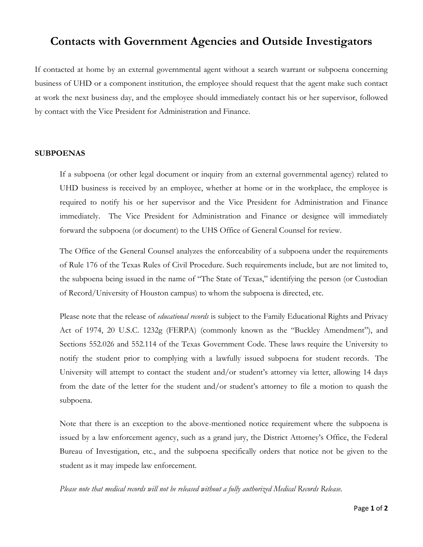## **Contacts with Government Agencies and Outside Investigators**

If contacted at home by an external governmental agent without a search warrant or subpoena concerning business of UHD or a component institution, the employee should request that the agent make such contact at work the next business day, and the employee should immediately contact his or her supervisor, followed by contact with the Vice President for Administration and Finance.

## **SUBPOENAS**

If a subpoena (or other legal document or inquiry from an external governmental agency) related to UHD business is received by an employee, whether at home or in the workplace, the employee is required to notify his or her supervisor and the Vice President for Administration and Finance immediately. The Vice President for Administration and Finance or designee will immediately forward the subpoena (or document) to the UHS Office of General Counsel for review.

The Office of the General Counsel analyzes the enforceability of a subpoena under the requirements of Rule 176 of the Texas Rules of Civil Procedure. Such requirements include, but are not limited to, the subpoena being issued in the name of "The State of Texas," identifying the person (or Custodian of Record/University of Houston campus) to whom the subpoena is directed, etc.

Please note that the release of *educational records* is subject to the Family Educational Rights and Privacy Act of 1974, 20 U.S.C. 1232g (FERPA) (commonly known as the "Buckley Amendment"), and Sections 552.026 and 552.114 of the Texas Government Code. These laws require the University to notify the student prior to complying with a lawfully issued subpoena for student records. The University will attempt to contact the student and/or student's attorney via letter, allowing 14 days from the date of the letter for the student and/or student's attorney to file a motion to quash the subpoena.

Note that there is an exception to the above-mentioned notice requirement where the subpoena is issued by a law enforcement agency, such as a grand jury, the District Attorney's Office, the Federal Bureau of Investigation, etc., and the subpoena specifically orders that notice not be given to the student as it may impede law enforcement.

*Please note that medical records will not be released without a fully authorized Medical Records Release.*